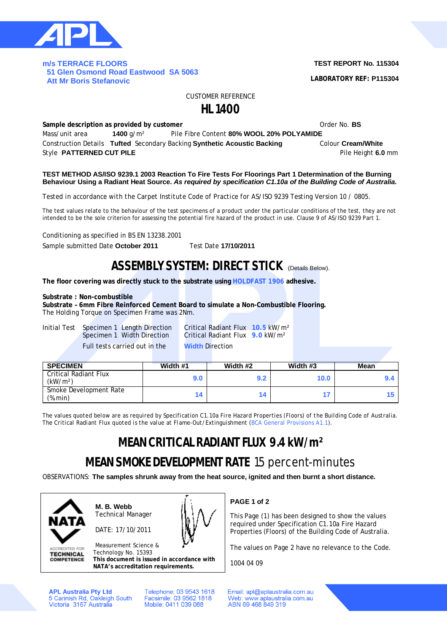

#### **m/s TERRACE FLOORS 51 Glen Osmond Road Eastwood SA 5063 Att Mr Boris Stefanovic**

### **TEST REPORT No. 115304**

**LABORATORY REF: P115304**

CUSTOMER REFERENCE

## **HL 1400**

**Sample description as provided by customer Constanting Community Community Community Community Community Community Community Community Community Community Community Community Community Community Community Community Comm** Mass/unit area **1400** g/m² Pile Fibre Content **80% WOOL 20% POLYAMIDE**  Construction Details **Tufted** Secondary Backing **Synthetic Acoustic Backing** Colour **Cream/White** Style **PATTERNED CUT PILE Pilot COUT PILE Pilot COUT PILE Pilot COUT PILE Pilot COUT PILE** 

#### **TEST METHOD AS/ISO 9239.1 2003 Reaction To Fire Tests For Floorings Part 1 Determination of the Burning Behaviour Using a Radiant Heat Source.** *As required by specification C1.10a of the Building Code of Australia.*

*Tested in accordance with the Carpet Institute Code of Practice for AS/ISO 9239 Testing Version 10 / 0805.*

The test values relate to the behaviour of the test specimens of a product under the particular conditions of the test, they are not intended to be the sole criterion for assessing the potential fire hazard of the product in use. Clause 9 of AS/ISO 9239 Part 1.

Conditioning as specified in BS EN 13238.2001

Sample submitted Date **October 2011** Test Date **17/10/2011**

## **ASSEMBLY SYSTEM: DIRECT STICK** (Details Below).

**The floor covering was directly stuck to the substrate using HOLDFAST 1906 adhesive.**

#### **Substrate : Non-combustible**

**Substrate – 6mm Fibre Reinforced Cement Board to simulate a Non-Combustible Flooring.** The Holding Torque on Specimen Frame was 2Nm.

Initial Test Specimen 1 Length Direction Critical Radiant Flux **10.5** kW/m² Full tests carried out in the **Width** Direction

Critical Radiant Flux **9.0** kW/m<sup>2</sup>

| <b>SPECIMEN</b>                               | Width #1 | Width #2 | Width #3          | <b>Mean</b> |
|-----------------------------------------------|----------|----------|-------------------|-------------|
| Critical Radiant Flux<br>(kW/m <sup>2</sup> ) | 9.0      | 9.2      | 10.0 <sub>1</sub> |             |
| Smoke Development Rate<br>(%.min)             |          | 14       |                   |             |

*The values quoted below are as required by Specification C1.10a Fire Hazard Properties (Floors) of the Building Code of Australia. The Critical Radiant Flux quoted is the value at Flame-Out/Extinguishment (BCA General Provisions A1.1).*

# **MEAN CRITICAL RADIANT FLUX 9.4 kW/m²**

# **MEAN SMOKE DEVELOPMENT RATE** 15 percent-minutes

OBSERVATIONS: **The samples shrunk away from the heat source, ignited and then burnt a short distance.**



**ACCREDITED FOR TECHNICAL COMPETENCE**  **M. B. Webb** Technical Manager

DATE: 17/10/2011



Measurement Science & Technology No. 15393 **This document is issued in accordance with**

**NATA's accreditation requirements.**

**APL Australia Pty Ltd** 5 Carinish Rd, Oakleigh South<br>Victoria 3167 Australia Telephone: 03 9543 1618 Facsimile: 03 9562 1818 Mobile: 0411 039 088

**PAGE 1 of 2**

This Page (1) has been designed to show the values required under Specification C1.10a Fire Hazard Properties (Floors) of the Building Code of Australia.

The values on Page 2 have no relevance to the Code.

1004 04 09

Email: apl@aplaustralia.com.au Web: www.aplaustralia.com.au ABN 69 468 849 319